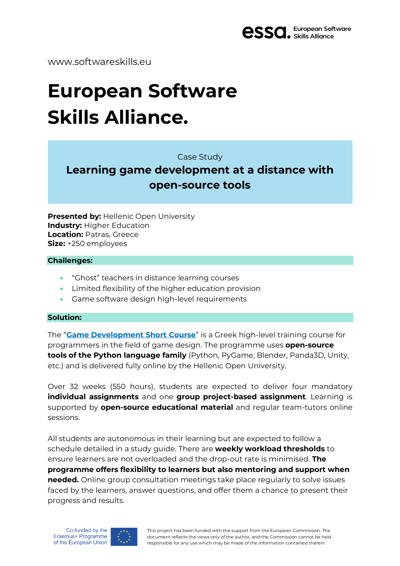

www.softwareskills.eu

# **European Software Skills Alliance.**

Case Study

# **Learning game development at a distance with open-source tools**

**Presented by:** Hellenic Open University **Industry: Higher Education Location:** Patras, Greece **Size:** +250 employees

#### **Challenges:**

- "Ghost" teachers in distance learning courses
- Limited flexibility of the higher education provision
- Game software design high-level requirements

#### **Solution:**

The "**Game [Development](https://sites.google.com/view/eap-sps-gamedev) Short Course**" is a Greek high-level training course for programmers in the field of game design. The programme uses **open-source tools of the Python language family** (Python, PyGame, Blender, Panda3D, Unity, etc.) and is delivered fully online by the Hellenic Open University.

Over 32 weeks (550 hours), students are expected to deliver four mandatory **individual assignments** and one **group project-based assignment**. Learning is supported by **open-source educational material** and regular team-tutors online sessions.

All students are autonomous in their learning but are expected to follow a schedule detailed in a study guide. There are **weekly workload thresholds** to ensure learners are not overloaded and the drop-out rate is minimised. **The programme offers flexibility to learners but also mentoring and support when needed.** Online group consultation meetings take place regularly to solve issues faced by the learners, answer questions, and offer them a chance to present their progress and results.



This project has been funded with the support from the European Commission. The document reflects the views only of the author, and the Commission cannot be held responsible for any use which may be made of the information contained therein.